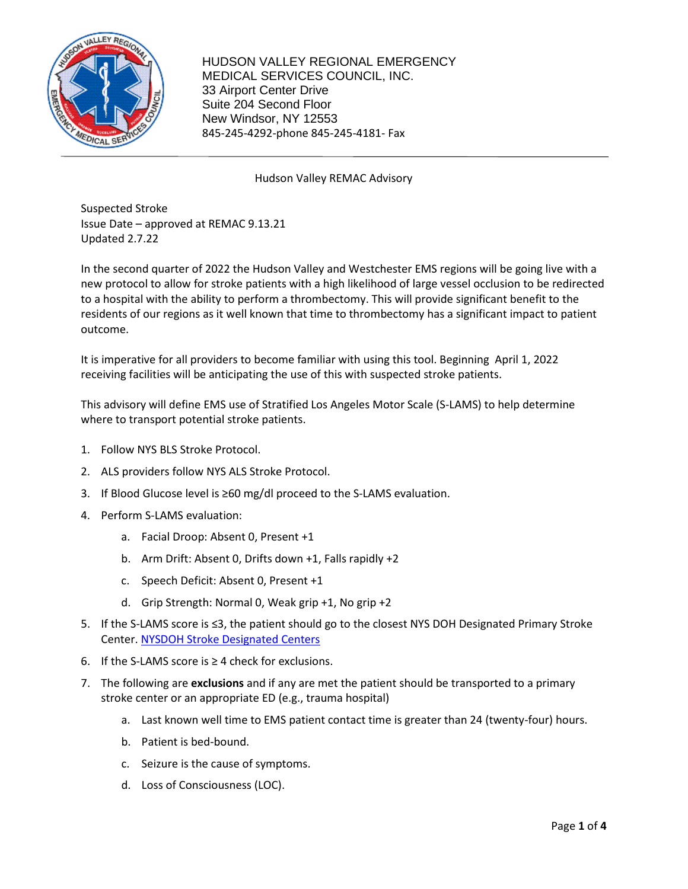

## Hudson Valley REMAC Advisory

Suspected Stroke Issue Date – approved at REMAC 9.13.21 Updated 2.7.22

In the second quarter of 2022 the Hudson Valley and Westchester EMS regions will be going live with a new protocol to allow for stroke patients with a high likelihood of large vessel occlusion to be redirected to a hospital with the ability to perform a thrombectomy. This will provide significant benefit to the residents of our regions as it well known that time to thrombectomy has a significant impact to patient outcome.

It is imperative for all providers to become familiar with using this tool. Beginning April 1, 2022 receiving facilities will be anticipating the use of this with suspected stroke patients.

This advisory will define EMS use of Stratified Los Angeles Motor Scale (S-LAMS) to help determine where to transport potential stroke patients.

- 1. Follow NYS BLS Stroke Protocol.
- 2. ALS providers follow NYS ALS Stroke Protocol.
- 3. If Blood Glucose level is ≥60 mg/dl proceed to the S-LAMS evaluation.
- 4. Perform S-LAMS evaluation:
	- a. Facial Droop: Absent 0, Present +1
	- b. Arm Drift: Absent 0, Drifts down +1, Falls rapidly +2
	- c. Speech Deficit: Absent 0, Present +1
	- d. Grip Strength: Normal 0, Weak grip +1, No grip +2
- 5. If the S-LAMS score is ≤3, the patient should go to the closest NYS DOH Designated Primary Stroke Center. N[YSDOH Stroke Designated Centers](https://www.health.ny.gov/diseases/cardiovascular/stroke/designation/stroke_designated_centers.htm)
- 6. If the S-LAMS score is  $\geq$  4 check for exclusions.
- 7. The following are **exclusions** and if any are met the patient should be transported to a primary stroke center or an appropriate ED (e.g., trauma hospital)
	- a. Last known well time to EMS patient contact time is greater than 24 (twenty-four) hours.
	- b. Patient is bed-bound.
	- c. Seizure is the cause of symptoms.
	- d. Loss of Consciousness (LOC).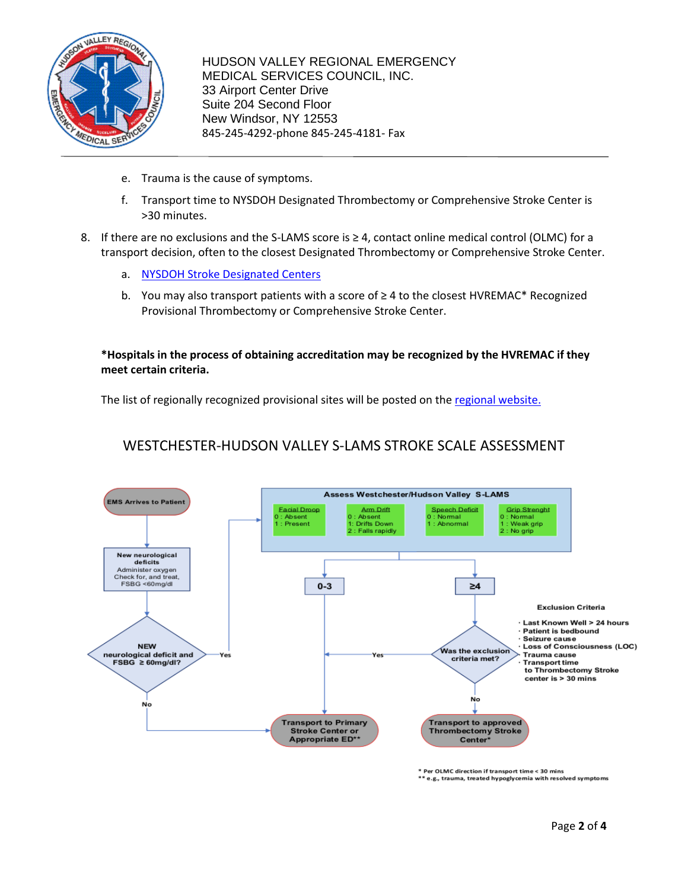

- e. Trauma is the cause of symptoms.
- f. Transport time to NYSDOH Designated Thrombectomy or Comprehensive Stroke Center is >30 minutes.
- 8. If there are no exclusions and the S-LAMS score is ≥ 4, contact online medical control (OLMC) for a transport decision, often to the closest Designated Thrombectomy or Comprehensive Stroke Center.
	- a. [NYSDOH Stroke Designated Centers](https://www.health.ny.gov/diseases/cardiovascular/stroke/designation/stroke_designated_centers.htm)
	- b. You may also transport patients with a score of ≥ 4 to the closest HVREMAC\* Recognized Provisional Thrombectomy or Comprehensive Stroke Center.

**\*Hospitals in the process of obtaining accreditation may be recognized by the HVREMAC if they meet certain criteria.**

The list of regionally recognized provisional sites will be posted on the regional [website.](https://hvremsco.org/?page_id=6909)

## WESTCHESTER-HUDSON VALLEY S-LAMS STROKE SCALE ASSESSMENT



\* Per OLMC direction if transport time < 30 mins

\*\* e.g., trauma, treated hypoglycemia with resolved symptoms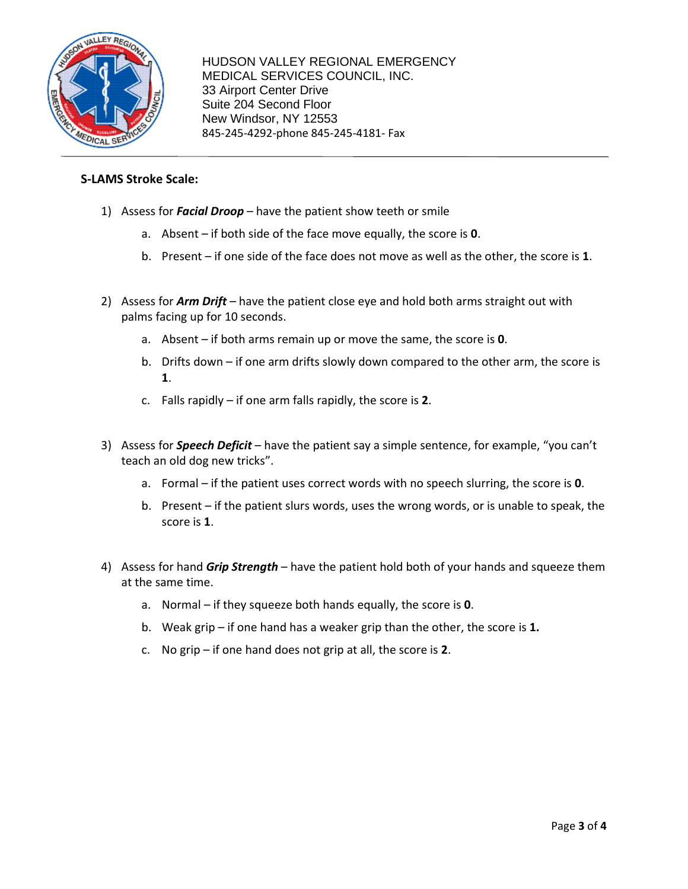

## **S-LAMS Stroke Scale:**

- 1) Assess for *Facial Droop* have the patient show teeth or smile
	- a. Absent if both side of the face move equally, the score is **0**.
	- b. Present if one side of the face does not move as well as the other, the score is **1**.
- 2) Assess for *Arm Drift* have the patient close eye and hold both arms straight out with palms facing up for 10 seconds.
	- a. Absent if both arms remain up or move the same, the score is **0**.
	- b. Drifts down if one arm drifts slowly down compared to the other arm, the score is **1**.
	- c. Falls rapidly if one arm falls rapidly, the score is **2**.
- 3) Assess for *Speech Deficit* have the patient say a simple sentence, for example, "you can't teach an old dog new tricks".
	- a. Formal if the patient uses correct words with no speech slurring, the score is **0**.
	- b. Present if the patient slurs words, uses the wrong words, or is unable to speak, the score is **1**.
- 4) Assess for hand *Grip Strength* have the patient hold both of your hands and squeeze them at the same time.
	- a. Normal if they squeeze both hands equally, the score is **0**.
	- b. Weak grip if one hand has a weaker grip than the other, the score is **1.**
	- c. No grip if one hand does not grip at all, the score is **2**.